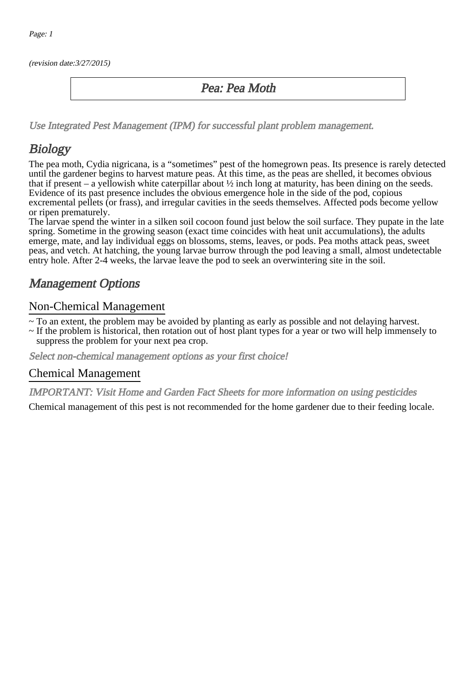(revision date:3/27/2015)

### Pea: Pea Moth

[Use Integrated Pest Management \(IPM\) for successful plant problem management.](http://pep.wsu.edu/Home_Garden/H_G_Pesticide_info/urban_Integrated_Pest_Managmen/)

## **Biology**

The pea moth, Cydia nigricana, is a "sometimes" pest of the homegrown peas. Its presence is rarely detected until the gardener begins to harvest mature peas. At this time, as the peas are shelled, it becomes obvious that if present – a yellowish white caterpillar about  $\frac{1}{2}$  inch long at maturity, has been dining on the seeds. Evidence of its past presence includes the obvious emergence hole in the side of the pod, copious excremental pellets (or frass), and irregular cavities in the seeds themselves. Affected pods become yellow or ripen prematurely.

The larvae spend the winter in a silken soil cocoon found just below the soil surface. They pupate in the late spring. Sometime in the growing season (exact time coincides with heat unit accumulations), the adults emerge, mate, and lay individual eggs on blossoms, stems, leaves, or pods. Pea moths attack peas, sweet peas, and vetch. At hatching, the young larvae burrow through the pod leaving a small, almost undetectable entry hole. After 2-4 weeks, the larvae leave the pod to seek an overwintering site in the soil.

## Management Options

#### Non-Chemical Management

~ To an extent, the problem may be avoided by planting as early as possible and not delaying harvest.

~ If the problem is historical, then rotation out of host plant types for a year or two will help immensely to suppress the problem for your next pea crop.

Select non-chemical management options as your first choice!

#### Chemical Management

IMPORTANT: [Visit Home and Garden Fact Sheets for more information on using pesticides](http://pep.wsu.edu/Home_Garden/H_G_Pesticide_info/)

Chemical management of this pest is not recommended for the home gardener due to their feeding locale.